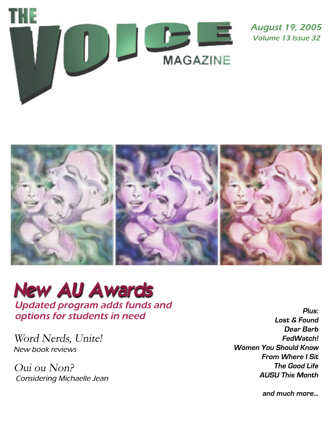

**August 19, 2005 Volume 13 Issue 32** 



## **New AU Awards Updated program adds funds and** options for students in need

Word Nerds, Unite! New book reviews

Oui ou Non? Considering Michaelle Jean

Plus: **Lost & Found** Dear Barb FedWatch! **Women You Should Know From Where I Sit The Good Life AUSU This Month** 

and much more...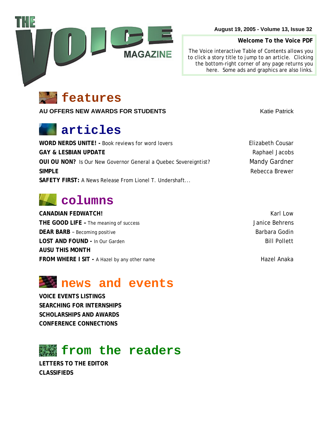



**[AU OFFERS NEW AWARDS FOR STUDENTS](#page-3-0)** And the station of the Matic Patrick

## **articles**

**WORD NERDS UNITE!** - [Book reviews for word lovers](#page-5-0) **Elizabeth Cousar GAY & LESBIAN UPDATE Raphael Jacobs Raphael Jacobs OUI OU NON?** [Is Our New Governor General a Quebec Sovereigntist?](#page-8-0) Mandy Gardner **SIMPLE [Rebecca Brewer](#page-9-0) SAFETY FIRST:** [A News Release From Lionel T. Undershaft...](#page-10-0)

## **columns**

**CANADIAN FEDWATCH! Karl Low Karl Low Karl Low Karl Low THE GOOD LIFE -** The meaning of success **State 1 and Secure 2 and Secure 2 and Secure 2 and Secure 3 and Secure 3 and Secure 3 and Secure 3 and Secure 3 and Secure 3 and Secure 3 and Secure 3 and Secure 3 and Secure 3 and DEAR BARB** [– Becoming positive Barbara Godin](#page-14-0) **Barbara Godin LOST AND FOUND** - In Our Garden Bill Pollett **Bill Pollett [AUSU THIS MONTH](#page-11-0)  [FROM WHERE I SIT -](#page-16-0) A Hazel by any other name Hazel Anaka** Hazel Anaka

## **news and events**

**[VOICE EVENTS LISTINGS](#page-17-0) [SEARCHING FOR INTERNSHIPS](#page-18-0)  [SCHOLARSHIPS AND AWARDS](#page-19-0)  [CONFERENCE CONNECTIONS](#page-20-0)** 

## **from the readers**

**[LETTERS TO THE EDITOR](#page-2-0)  [CLASSIFIEDS](#page-21-0)** 

**August 19, 2005 - Volume 13, Issue 32**

**Welcome To the Voice PDF** 

*The Voice* interactive Table of Contents allows you to click a story title to jump to an article. Clicking the bottom-right corner of any page returns you here. Some ads and graphics are also links.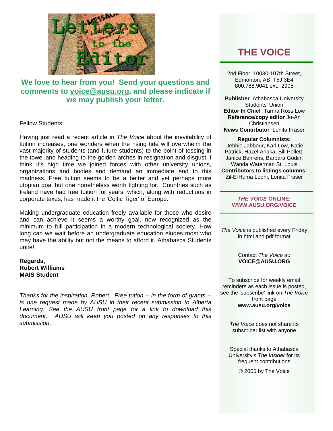<span id="page-2-0"></span>

## **We love to hear from you! Send your questions and comments to [voice@ausu.org](mailto:voice@ausu.org), and please indicate if we may publish your letter.**

## Fellow Students:

Having just read a recent article in *The Voice* about the inevitability of tuition increases, one wonders when the rising tide will overwhelm the vast majority of students (and future students) to the point of tossing in the towel and heading to the golden arches in resignation and disgust. I think it's high time we joined forces with other university unions, organizations and bodies and demand an immediate end to this madness. Free tuition seems to be a better and yet perhaps more utopian goal but one nonetheless worth fighting for. Countries such as Ireland have had free tuition for years, which, along with reductions in corporate taxes, has made it the 'Celtic Tiger' of Europe.

Making undergraduate education freely available for those who desire and can achieve it seems a worthy goal, now recognized as the minimum to full participation in a modern technological society. How long can we wait before an undergraduate education eludes most who may have the ability but not the means to afford it. Athabasca Students unite!

## **Regards, Robert Williams MAIS Student**

*Thanks for the inspiration, Robert. Free tution -- in the form of grants - is one request made by AUSU in their recent submission to Alberta Learning. See the AUSU front page for a link to download this document. AUSU will keep you posted on any responses to this submission.* 

## **THE VOICE**

2nd Floor, 10030-107th Street, Edmonton, AB T5J 3E4 800.788.9041 ext. 2905

**Publisher** Athabasca University Students' Union **Editor In Chief** Tamra Ross Low **Reference/copy editor** Jo-An Christiansen **News Contributor** Lonita Fraser

#### **Regular Columnists:**

Debbie Jabbour, Karl Low, Katie Patrick, Hazel Anaka, Bill Pollett, Janice Behrens, Barbara Godin, Wanda Waterman St. Louis **Contributors to listings columns:**  Zil-E-Huma Lodhi, Lonita Fraser

> *THE VOICE* **ONLINE: [WWW.AUSU.ORG/VOICE](http://72.52.134.4/voice)**

*The Voice* is published every Friday in html and pdf format

#### Contact *The Voice* at: **[VOICE@AUSU.ORG](mailto:voice@ausu.org)**

To subscribe for weekly email reminders as each issue is posted, see the 'subscribe' link on *The Voice* front page **[www.ausu.org/voice](http://72.52.134.4/voice)**

> *The Voice* does not share its subscriber list with anyone

Special thanks to Athabasca University's *The Insider* for its frequent contributions

© 2005 by The Voice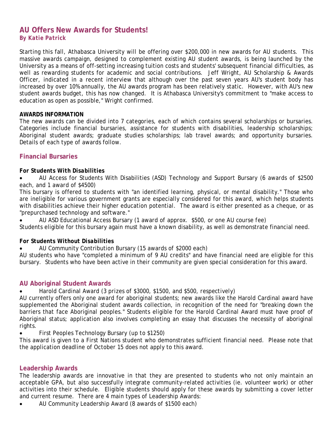## <span id="page-3-0"></span>**AU Offers New Awards for Students!**  *By Katie Patrick*

Starting this fall, Athabasca University will be offering over \$200,000 in new awards for AU students. This massive awards campaign, designed to complement existing AU student awards, is being launched by the University as a means of off-setting increasing tuition costs and students' subsequent financial difficulties, as well as rewarding students for academic and social contributions. Jeff Wright, AU Scholarship & Awards Officer, indicated in a recent interview that although over the past seven years AU's student body has increased by over 10% annually, the AU awards program has been relatively static. However, with AU's new student awards budget, this has now changed. It is Athabasca University's commitment to "make access to education as open as possible," Wright confirmed.

## **AWARDS INFORMATION**

The new awards can be divided into 7 categories, each of which contains several scholarships or bursaries. Categories include financial bursaries, assistance for students with disabilities, leadership scholarships; Aboriginal student awards; graduate studies scholarships; lab travel awards; and opportunity bursaries. Details of each type of awards follow.

## **Financial Bursaries**

## *For Students With Disabilities*

• AU Access for Students With Disabilities (ASD) Technology and Support Bursary *(6 awards of \$2500 each, and 1 award of \$4500)*

This bursary is offered to students with "an identified learning, physical, or mental disability." Those who are ineligible for various government grants are especially considered for this award, which helps students with disabilities achieve their higher education potential. The award is either presented as a cheque, or as "prepurchased technology and software."

• AU ASD Educational Access Bursary *(1 award of approx. \$500, or one AU course fee)* Students eligible for this bursary again must have a known disability, as well as demonstrate financial need.

## *For Students Without Disabilities*

• AU Community Contribution Bursary *(15 awards of \$2000 each)* 

AU students who have "completed a minimum of 9 AU credits" and have financial need are eligible for this bursary. Students who have been active in their community are given special consideration for this award.

## **AU Aboriginal Student Awards**

## • Harold Cardinal Award *(3 prizes of \$3000, \$1500, and \$500, respectively)*

AU currently offers only one award for aboriginal students; new awards like the Harold Cardinal award have supplemented the Aboriginal student awards collection, in recognition of the need for "breaking down the barriers that face Aboriginal peoples." Students eligible for the Harold Cardinal Award must have proof of Aboriginal status; application also involves completing an essay that discusses the necessity of aboriginal rights.

• First Peoples Technology Bursary *(up to \$1250)*

This award is given to a First Nations student who demonstrates sufficient financial need. Please note that the application deadline of October 15 does not apply to this award.

## **Leadership Awards**

The leadership awards are innovative in that they are presented to students who not only maintain an acceptable GPA, but also successfully integrate community-related activities (ie. volunteer work) or other activities into their schedule. Eligible students should apply for these awards by submitting a cover letter and current resume. There are 4 main types of Leadership Awards:

• AU Community Leadership Award *(8 awards of \$1500 each)*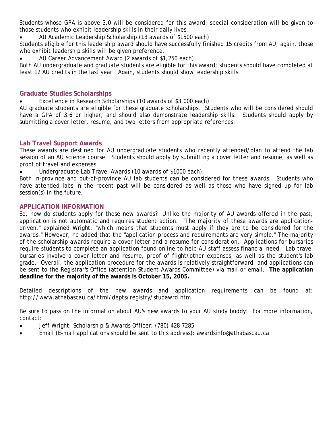Students whose GPA is above 3.0 will be considered for this award; special consideration will be given to those students who exhibit leadership skills in their daily lives.

• AU Academic Leadership Scholarship *(18 awards of \$1500 each)*

Students eligible for this leadership award should have successfully finished 15 credits from AU; again, those who exhibit leadership skills will be given preference.

• AU Career Advancement Award *(2 awards of \$1,250 each)* 

Both AU undergraduate and graduate students are eligible for this award; students should have completed at least 12 AU credits in the last year. Again, students should show leadership skills.

## **Graduate Studies Scholarships**

• Excellence in Research Scholarships *(10 awards of \$3,000 each)*

AU graduate students are eligible for these graduate scholarships. Students who will be considered should have a GPA of 3.6 or higher, and should also demonstrate leadership skills. Students should apply by submitting a cover letter, resume, and two letters from appropriate references.

## **Lab Travel Support Awards**

These awards are destined for AU undergraduate students who recently attended/plan to attend the lab session of an AU science course. Students should apply by submitting a cover letter and resume, as well as proof of travel and expenses.

• Undergraduate Lab Travel Awards *(10 awards of \$1000 each)*

Both in-province and out-of-province AU lab students can be considered for these awards. Students who have attended labs in the recent past will be considered as well as those who have signed up for lab session(s) in the future.

## **APPLICATION INFORMATION**

So, how do students apply for these new awards? Unlike the majority of AU awards offered in the past, application is not automatic and requires student action. "The majority of these awards are applicationdriven," explained Wright, "which means that students must apply if they are to be considered for the awards." However, he added that the "application process and requirements are very simple." The majority of the scholarship awards require a cover letter and a resume for consideration. Applications for bursaries require students to complete an application found online to help AU staff assess financial need. Lab travel bursaries involve a cover letter and resume, proof of flight/other expenses, as well as the student's lab grade. Overall, the application procedure for the awards is relatively straightforward, and applications can be sent to the Registrar's Office (attention Student Awards Committee) via mail or email. **The application deadline for the majority of the awards is October 15, 2005.** 

Detailed descriptions of the new awards and application requirements can be found at: http://www.athabascau.ca/html/depts/registry/studawrd.htm

Be sure to pass on the information about AU's new awards to your AU study buddy! For more information, contact*:* 

- Jeff Wright, Scholarship & Awards Officer: (780) 428 7285
- Email (E-mail applications should be sent to this address): [awardsinfo@athabascau.ca](mailto:awardsinfo@athabascau.ca)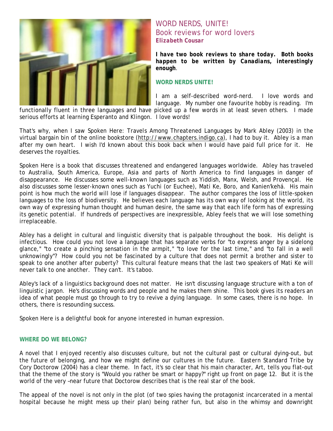<span id="page-5-0"></span>

## WORD NERDS, UNITE! Book reviews for word lovers *Elizabeth Cousar*

*I have two book reviews to share today. Both books happen to be written by Canadians, interestingly enough*.

## **WORD NERDS UNITE!**

I am a self-described word-nerd. I love words and language. My number one favourite hobby is reading. I'm

functionally fluent in three languages and have picked up a few words in at least seven others. I made serious efforts at learning Esperanto and Klingon. I love words!

That's why, when I saw *Spoken Here*: *Travels Among Threatened Languages* by Mark Abley (2003) in the virtual bargain bin of the online bookstore ([http://www.chapters.indigo.ca\)](http://www.chapters.indigo.ca/), I had to buy it. Abley is a man after my own heart. I wish I'd known about this book back when I would have paid full price for it. He deserves the royalties.

*Spoken Here* is a book that discusses threatened and endangered languages worldwide. Abley has traveled to Australia, South America, Europe, Asia and parts of North America to find languages in danger of disappearance. He discusses some well-known languages such as Yiddish, Manx, Welsh, and Provençal. He also discusses some lesser-known ones such as Yuchi (or Euchee), Mati Ke, Boro, and Kanien'kehá. His main point is how much the world will lose if languages disappear. The author compares the loss of little-spoken languages to the loss of biodiversity. He believes each language has its own way of looking at the world, its own way of expressing human thought and human desire, the same way that each life form has of expressing its genetic potential. If hundreds of perspectives are inexpressible, Abley feels that we will lose something irreplaceable.

Abley has a delight in cultural and linguistic diversity that is palpable throughout the book. His delight is infectious. How could you not love a language that has separate verbs for "to express anger by a sidelong glance," "to create a pinching sensation in the armpit," "to love for the last time," and "to fall in a well unknowingly"? How could you not be fascinated by a culture that does not permit a brother and sister to speak to one another after puberty? This cultural feature means that the last two speakers of Mati Ke will never talk to one another. They can't. It's taboo.

Abley's lack of a linguistics background does not matter. He isn't discussing language structure with a ton of linguistic jargon. He's discussing words and people and he makes them shine. This book gives its readers an idea of what people must go through to try to revive a dying language. In some cases, there is no hope. In others, there is resounding success.

*Spoken Here* is a delightful book for anyone interested in human expression.

## **WHERE DO WE BELONG?**

A novel that I enjoyed recently also discusses culture, but not the cultural past or cultural dying-out, but the future of belonging, and how we might define our cultures in the future. *Eastern Standard Tribe* by Cory Doctorow (2004) has a clear theme. In fact, it's so clear that his main character, Art, tells you flat-out that the theme of the story is "Would you rather be smart or happy?" right up front on page 12. But it is the world of the very –near future that Doctorow describes that is the real star of the book.

The appeal of the novel is not only in the plot (of two spies having the protagonist incarcerated in a mental hospital because he might mess up their plan) being rather fun, but also in the whimsy and downright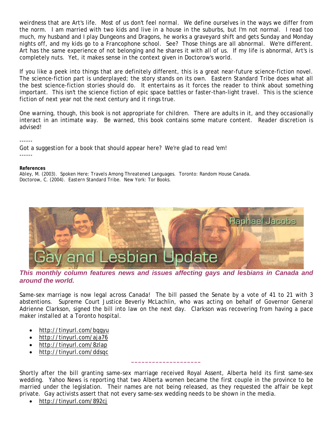<span id="page-6-0"></span>weirdness that are Art's life. Most of us don't feel normal. We define ourselves in the ways we differ from the norm. I am married with two kids and live in a house in the suburbs, but I'm not normal. I read too much, my husband and I play Dungeons and Dragons, he works a graveyard shift and gets Sunday and Monday nights off, and my kids go to a Francophone school. See? Those things are all abnormal. We're different. Art has the same experience of not belonging and he shares it with all of us. If my life is abnormal, Art's is completely nuts. Yet, it makes sense in the context given in Doctorow's world.

If you like a peek into things that are definitely different, this is a great near-future science-fiction novel. The science-fiction part is underplayed; the story stands on its own. *Eastern Standard Tribe* does what all the best science-fiction stories should do. It entertains as it forces the reader to think about something important. This isn't the science fiction of epic space battles or faster-than-light travel. This is the science fiction of next year not the next century and it rings true.

One warning, though, this book is not appropriate for children. There are adults in it, and they occasionally interact in an intimate way. Be warned, this book contains some mature content. Reader discretion is advised!

------ Got a suggestion for a book that should appear here? We're glad to read 'em! ------

#### **References**

Abley, M. (2003). *Spoken Here: Travels Among Threatened Languages.* Toronto: Random House Canada. Doctorow, C. (2004). *Eastern Standard Tribe*. New York: Tor Books.



*This monthly column features news and issues affecting gays and lesbians in Canada and around the world.* 

Same-sex marriage is now legal across Canada! The bill passed the Senate by a vote of 41 to 21 with 3 abstentions. Supreme Court Justice Beverly McLachlin, who was acting on behalf of Governor General Adrienne Clarkson, signed the bill into law on the next day. Clarkson was recovering from having a pace maker installed at a Toronto hospital.

- <http://tinyurl.com/bqgyu>
- <http://tinyurl.com/aja76>
- <http://tinyurl.com/8zlap>
- <http://tinyurl.com/ddsqc>

Shortly after the bill granting same-sex marriage received Royal Assent, Alberta held its first same-sex wedding. Yahoo News is reporting that two Alberta women became the first couple in the province to be married under the legislation. Their names are not being released, as they requested the affair be kept private. Gay activists assert that not every same-sex wedding needs to be shown in the media.

**\_\_\_\_\_\_\_\_\_\_\_\_\_\_\_\_\_\_\_\_** 

• <http://tinyurl.com/892cj>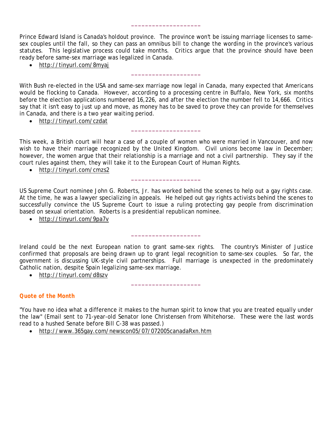Prince Edward Island is Canada's holdout province. The province won't be issuing marriage licenses to samesex couples until the fall, so they can pass an omnibus bill to change the wording in the province's various statutes. This legislative process could take months. Critics argue that the province should have been ready before same-sex marriage was legalized in Canada.

**\_\_\_\_\_\_\_\_\_\_\_\_\_\_\_\_\_\_\_\_** 

**\_\_\_\_\_\_\_\_\_\_\_\_\_\_\_\_\_\_\_\_** 

• <http://tinyurl.com/8myaj>

With Bush re-elected in the USA and same-sex marriage now legal in Canada, many expected that Americans would be flocking to Canada. However, according to a processing centre in Buffalo, New York, six months before the election applications numbered 16,226, and after the election the number fell to 14,666. Critics say that it isn't easy to just up and move, as money has to be saved to prove they can provide for themselves in Canada, and there is a two year waiting period.

• <http://tinyurl.com/czdat>

This week, a British court will hear a case of a couple of women who were married in Vancouver, and now wish to have their marriage recognized by the United Kingdom. Civil unions become law in December; however, the women argue that their relationship is a marriage and not a civil partnership. They say if the court rules against them, they will take it to the European Court of Human Rights.

**\_\_\_\_\_\_\_\_\_\_\_\_\_\_\_\_\_\_\_\_** 

• <http://tinyurl.com/cmzs2>

US Supreme Court nominee John G. Roberts, Jr. has worked behind the scenes to help out a gay rights case. At the time, he was a lawyer specializing in appeals. He helped out gay rights activists behind the scenes to successfully convince the US Supreme Court to issue a ruling protecting gay people from discrimination based on sexual orientation. Roberts is a presidential republican nominee.

**\_\_\_\_\_\_\_\_\_\_\_\_\_\_\_\_\_\_\_\_** 

• <http://tinyurl.com/9pa7v>

Ireland could be the next European nation to grant same-sex rights. The country's Minister of Justice confirmed that proposals are being drawn up to grant legal recognition to same-sex couples. So far, the government is discussing UK-style civil partnerships. Full marriage is unexpected in the predominately Catholic nation, despite Spain legalizing same-sex marriage.

**\_\_\_\_\_\_\_\_\_\_\_\_\_\_\_\_\_\_\_\_** 

**\_\_\_\_\_\_\_\_\_\_\_\_\_\_\_\_\_\_\_\_** 

• <http://tinyurl.com/d8szv>

## *Quote of the Month*

"You have no idea what a difference it makes to the human spirit to know that you are treated equally under the law" (Email sent to 71-year-old Senator Ione Christensen from Whitehorse. These were the last words read to a hushed Senate before Bill C-38 was passed.)

• <http://www.365gay.com/newscon05/07/072005canadaRxn.htm>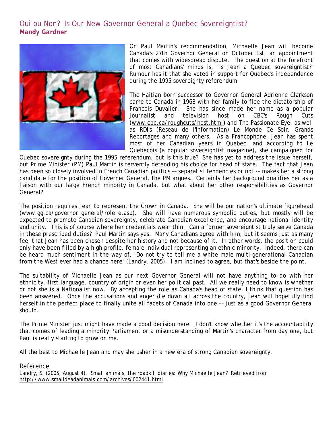## <span id="page-8-0"></span>Oui ou Non? Is Our New Governor General a Quebec Sovereigntist? *Mandy Gardner*



On Paul Martin's recommendation, Michaelle Jean will become Canada's 27th Governor General on October 1st, an appointment that comes with widespread dispute. The question at the forefront of most Canadians' minds is, "Is Jean a Quebec sovereigntist?" Rumour has it that she voted in support for Quebec's independence during the 1995 sovereignty referendum.

The Haitian born successor to Governor General Adrienne Clarkson came to Canada in 1968 with her family to flee the dictatorship of Francois Duvalier. She has since made her name as a popular journalist and television host on CBC's Rough Cuts [\(www.cbc.ca/roughcuts/host.html](http://www.cbc.ca/roughcuts/host.html)**)** and The Passionate Eye, as well as RDI's (Reseau de l'Information) Le Monde Ce Soir, Grands Reportages and many others. As a Francophone, Jean has spent most of her Canadian years in Quebec, and according to Le Quebecois (a popular sovereigntist magazine), she campaigned for

Quebec sovereignty during the 1995 referendum, but is this true? She has yet to address the issue herself, but Prime Minister (PM) Paul Martin is fervently defending his choice for head of state. The fact that Jean has been so closely involved in French Canadian politics -– separatist tendencies or not -– makes her a strong candidate for the position of Governer General, the PM argues. Certainly her background qualifies her as a liaison with our large French minority in Canada, but what about her other responsibilities as Governor General?

The position requires Jean to represent the Crown in Canada. She will be our nation's ultimate figurehead [\(www.gg.ca/governor\\_general/role\\_e.asp\)](http://www.gg.ca/governor_general/role_e.asp). She will have numerous symbolic duties, but mostly will be expected to promote Canadian sovereignty, celebrate Canadian excellence, and encourage national identity and unity. This is of course where her credentials wear thin. Can a former sovereigntist truly serve Canada in these prescribed duties? Paul Martin says yes. Many Canadians agree with him, but it seems just as many feel that Jean has been chosen despite her history and not because of it. In other words, the position could only have been filled by a high profile, female individual representing an ethnic minority. Indeed, there can be heard much sentiment in the way of, "Do not try to tell me a white male multi-generational Canadian from the West ever had a chance here" (Landry, 2005). I am inclined to agree, but that's beside the point.

The suitability of Michaelle Jean as our next Governor General will not have anything to do with her ethnicity, first language, country of origin or even her political past. All we really need to know is whether or not she is a Nationalist now*.* By accepting the role as Canada's head of state, I think that question has been answered. Once the accusations and anger die down all across the country, Jean will hopefully find herself in the perfect place to finally unite all facets of Canada into one -– just as a good Governor General should.

The Prime Minister just might have made a good decision here. I don't know whether it's the accountability that comes of leading a minority Parliament or a misunderstanding of Martin's character from day one, but Paul is really starting to grow on me.

All the best to Michaelle Jean and may she usher in a new era of strong Canadian sovereignty.

## Reference

Landry, S. (2005, August 4). Small animals, the roadkill diaries: Why Michaelle Jean? Retrieved from <http://www.smalldeadanimals.com/archives/002441.html>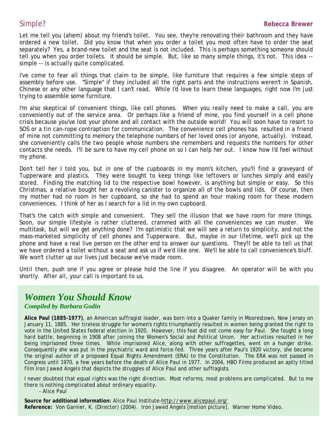<span id="page-9-0"></span>Let me tell you (ahem) about my friend's toilet. You see, they're renovating their bathroom and they have ordered a new toilet. Did you know that when you order a toilet you most often have to order the seat separately? Yes, a brand-new toilet and the seat is not included. This is perhaps something someone should tell you when you order toilets. It should be simple. But, like so many simple things, it's not. This idea - simple -- is actually quite complicated.

I've come to fear all things that claim to be simple, like furniture that requires a few simple steps of assembly before use. "Simple" if they included all the right parts and the instructions weren't in Spanish, Chinese or any other language that I can't read. While I'd love to learn these languages, right now I'm just trying to assemble some furniture.

I'm also skeptical of convenient things, like cell phones. When you really need to make a call, you are conveniently out of the service area. Or perhaps like a friend of mine, you find yourself in a cell phone crisis because you've lost your phone and all contact with the outside world! You will soon have to resort to SOS or a tin can-rope contraption for communication. The convenience cell phones has resulted in a friend of mine not committing to memory the telephone numbers of her loved ones (or anyone, actually). Instead, she conveniently calls the two people whose numbers she remembers and requests the numbers for other contacts she needs. I'll be sure to have my cell phone on so I can help her out. I know how I'd feel without my phone.

Don't tell her I told you, but in one of the cupboards in my mom's kitchen, you'll find a graveyard of Tupperware and plastics. They were bought to keep things like leftovers or lunches simply and easily stored. Finding the matching lid to the respective bowl however, is anything but simple or easy. So this Christmas, a relative bought her a revolving canister to organize all of the bowls and lids. Of course, then my mother had no room in her cupboard, so she had to spend an hour making room for these modern conveniences. I think of her as I search for a lid in my own cupboard.

That's the catch with simple and convenient. They sell the illusion that we have room for more things. Soon, our simple lifestyle is rather cluttered, crammed with all the conveniences we can muster. We multitask, but will we get anything done? I'm optimistic that we will see a return to simplicity, and not the mass-marketed simplicity of cell phones and Tupperware. But, maybe in our lifetime, we'll pick up the phone and have a real live person on the other end to answer our questions. They'll be able to tell us that we have ordered a toilet without a seat and ask us if we'd like one. We'll be able to call convenience's bluff. We won't clutter up our lives just because we've made room.

Until then, push one if you agree or please hold the line if you disagree. An operator will be with you shortly. After all, your call is important to us.

# *Women You Should Know Compiled by Barbara Godin*

**Alice Paul (1885-1977)**, an American suffragist leader, was born into a Quaker family in Moorestown, New Jersey on January 11, 1885. Her tireless struggle for women's rights triumphantly resulted in women being granted the right to vote in the United States federal election in 1920. However, this feat did not come easy for Paul. She fought a long hard battle, beginning in 1908 after joining the Women's Social and Political Union. Her activities resulted in her being imprisoned three times. While imprisoned Alice, along with other suffragettes, went on a hunger strike. Consequently she was put in the psychiatric ward and force-fed. Three years after Paul's 1920 victory, she became the original author of a proposed Equal Rights Amendment (ERA) to the Constitution. The ERA was not passed in Congress until 1970, a few years before the death of Alice Paul in 1977. In 2004, HBO Films produced an aptly titled film *Iron Jawed Angels* that depicts the struggles of Alice Paul and other suffragists.

*I never doubted that equal rights was the right direction. Most reforms, most problems are complicated. But to me there is nothing complicated about ordinary equality.* 

- Alice Paul

**Source for additional information:** Alice Paul Institute-<http://www.alicepaul.org/> **Reference:** Von Garnier, K. (Director) (2004). *Iron Jawed Angels* [motion picture]. Warner Home Video.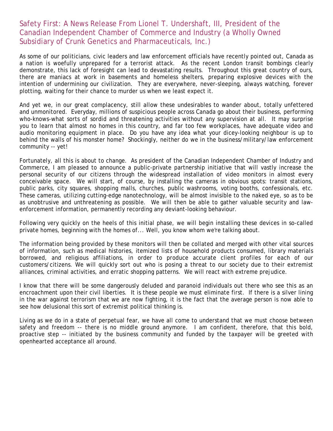## <span id="page-10-0"></span>Safety First: A News Release From Lionel T. Undershaft, III, President of the Canadian Independent Chamber of Commerce and Industry (a Wholly Owned Subsidiary of Crunk Genetics and Pharmaceuticals, Inc.)

As some of our politicians, civic leaders and law enforcement officials have recently pointed out, Canada as a nation is woefully unprepared for a terrorist attack. As the recent London transit bombings clearly demonstrate, this lack of foresight can lead to devastating results. Throughout this great country of ours, there are maniacs at work in basements and homeless shelters, preparing explosive devices with the intention of undermining our civilization. They are everywhere, never-sleeping, always watching, forever plotting, waiting for their chance to murder us when we least expect it.

And yet we, in our great complacency, still allow these undesirables to wander about, totally unfettered and unmonitored. Everyday, millions of suspicious people across Canada go about their business, performing who-knows-what sorts of sordid and threatening activities without any supervision at all. It may surprise you to learn that almost no homes in this country, and far too few workplaces, have adequate video and audio monitoring equipment in place. Do you have any idea what your dicey-looking neighbour is up to behind the walls of his monster home? Shockingly, neither do we in the business/military/law enforcement community -- yet!

Fortunately, all this is about to change. As president of the Canadian Independent Chamber of Industry and Commerce, I am pleased to announce a public-private partnership initiative that will vastly increase the personal security of our citizens through the widespread installation of video monitors in almost every conceivable space. We will start, of course, by installing the cameras in obvious spots: transit stations, public parks, city squares, shopping malls, churches, public washrooms, voting booths, confessionals, etc. These cameras, utilizing cutting-edge nanotechnology, will be almost invisible to the naked eye, so as to be as unobtrusive and unthreatening as possible. We will then be able to gather valuable security and lawenforcement information, permanently recording any deviant-looking behaviour.

Following very quickly on the heels of this initial phase, we will begin installing these devices in so-called private homes, beginning with the homes of... Well, you know whom we're talking about.

The information being provided by these monitors will then be collated and merged with other vital sources of information, such as medical histories, itemized lists of household products consumed, library materials borrowed, and religious affiliations, in order to produce accurate client profiles for each of our customers/citizens. We will quickly sort out who is posing a threat to our society due to their extremist alliances, criminal activities, and erratic shopping patterns. We will react with extreme prejudice.

I know that there will be some dangerously deluded and paranoid individuals out there who see this as an encroachment upon their civil liberties. It is these people we must eliminate first. If there is a silver lining in the war against terrorism that we are now fighting, it is the fact that the average person is now able to see how delusional this sort of extremist political thinking is.

Living as we do in a state of perpetual fear, we have all come to understand that we must choose between safety and freedom -- there is no middle ground anymore. I am confident, therefore, that this bold, proactive step -- initiated by the business community and funded by the taxpayer will be greeted with openhearted acceptance all around.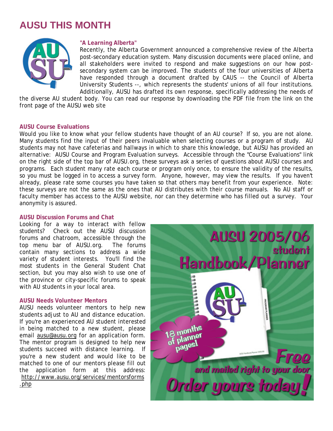## <span id="page-11-0"></span>**AUSU THIS MONTH**



## **"A Learning Alberta"**

Recently, the Alberta Government announced a comprehensive review of the Alberta post-secondary education system. Many discussion documents were placed online, and all stakeholders were invited to respond and make suggestions on our how postsecondary system can be improved. The students of the four universities of Alberta have responded through a document drafted by CAUS -- the Council of Alberta University Students --, which represents the students' unions of all four institutions. Additionally, AUSU has drafted its own response, specifically addressing the needs of

the diverse AU student body. You can read our response by downloading the PDF file from the link on the front page of the AUSU web site

## **AUSU Course Evaluations**

Would you like to know what your fellow students have thought of an AU course? If so, you are not alone. Many students find the input of their peers invaluable when selecting courses or a program of study. AU students may not have cafeterias and hallways in which to share this knowledge, but AUSU has provided an alternative: AUSU Course and Program Evaluation surveys. Accessible through the "Course Evaluations" link on the right side of the top bar of AUSU.org, these surveys ask a series of questions about AUSU courses and programs. Each student many rate each course or program only once, to ensure the validity of the results, so you must be logged in to access a survey form. Anyone, however, may view the results. If you haven't already, please rate some courses you have taken so that others may benefit from your experience. Note: these surveys are not the same as the ones that AU distributes with their course manuals. No AU staff or faculty member has access to the AUSU website, nor can they determine who has filled out a survey. Your anonymity is assured.

### **AUSU Discussion Forums and Chat**

Looking for a way to interact with fellow students? Check out the AUSU discussion forums and chatroom, accessible through the top menu bar of AUSU.org. The forums contain many sections to address a wide variety of student interests. You'll find the most students in the General Student Chat section, but you may also wish to use one of the province or city-specific forums to speak with AU students in your local area.

### **AUSU Needs Volunteer Mentors**

AUSU needs volunteer mentors to help new students adjust to AU and distance education. If you're an experienced AU student interested in being matched to a new student, please email [ausu@ausu.org](mailto:ausu@ausu.org) for an application form. The mentor program is designed to help new students succeed with distance learning. If you're a new student and would like to be matched to one of our mentors please fill out the application form at this address: [http://www.ausu.org/services/mentorsforms](http://72.52.134.4/services/mentorsforms.php) [.php](http://72.52.134.4/services/mentorsforms.php)

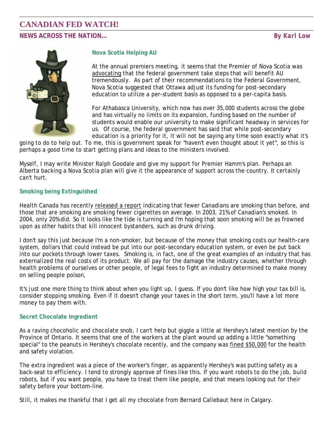## <span id="page-12-0"></span>**CANADIAN FED WATCH! NEWS ACROSS THE NATION…** *By Karl Low*



## **Nova Scotia Helping AU**

At the annual premiers meeting, it seems that the Premier of Nova Scotia was [advocating](http://www.gov.ns.ca/news/details.asp?id=20050808006) that the federal government take steps that will benefit AU tremendously. As part of their recommendations to the Federal Government, Nova Scotia suggested that Ottawa adjust its funding for post-secondary education to utilize a per-student basis as opposed to a per-capita basis.

For Athabasca University, which now has over 35,000 students across the globe and has virtually no limits on its expansion, funding based on the number of students would enable our university to make significant headway in services for us. Of course, the federal government has said that while post-secondary education is a priority for it, it will not be saying any time soon exactly what it's

going to do to help out. To me, this is government speak for "haven't even thought about it yet", so this is perhaps a good time to start getting plans and ideas to the ministers involved.

Myself, I may write Minister Ralph Goodale and give my support for Premier Hamm's plan. Perhaps an Alberta backing a Nova Scotia plan will give it the appearance of support across the country. It certainly can't hurt.

## **Smoking being Extinguished**

Health Canada has recently [released a report](http://news.gc.ca/cfmx/view/en/index.jsp?articleid=163429) indicating that fewer Canadians are smoking than before, and those that are smoking are smoking fewer cigarettes on average. In 2003, 21% of Canadian's smoked. In 2004, only 20% did. So it looks like the tide is turning and I'm hoping that soon smoking will be as frowned upon as other habits that kill innocent bystanders, such as drunk driving.

I don't say this just because I'm a non-smoker, but because of the money that smoking costs our health-care system, dollars that could instead be put into our post-secondary education system, or even be put back into our pockets through lower taxes. Smoking is, in fact, one of the great examples of an industry that has externalized the real costs of its product. We all pay for the damage the industry causes, whether through health problems of ourselves or other people, of legal fees to fight an industry determined to make money on selling people poison,

It's just one more thing to think about when you light up, I guess. If you don't like how high your tax bill is, consider stopping smoking. Even if it doesn't change your taxes in the short term, you'll have a lot more money to pay them with.

## **Secret Chocolate Ingredient**

As a raving chocoholic and chocolate snob, I can't help but giggle a little at Hershey's latest mention by the Province of Ontario. It seems that one of the workers at the plant wound up adding a little "something special" to the peanuts in Hershey's chocolate recently, and the company was [fined \\$50,000](http://ogov.newswire.ca/ontario/GPOE/2005/08/11/c9532.html?lmatch=&lang=_e.html) for the health and safety violation.

The extra ingredient was a piece of the worker's finger, as apparently Hershey's was putting safety as a back-seat to efficiency. I tend to strongly approve of fines like this. If you want robots to do the job, build robots, but if you want people, you have to treat them like people, and that means looking out for their safety before your bottom-line.

Still, it makes me thankful that I get all my chocolate from Bernard Callebaut here in Calgary.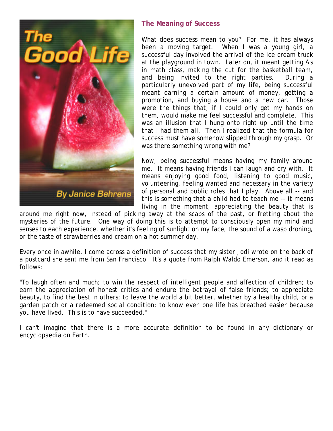<span id="page-13-0"></span>

## **The Meaning of Success**

What does success mean to you? For me, it has always been a moving target. When I was a young girl, a successful day involved the arrival of the ice cream truck at the playground in town. Later on, it meant getting A's in math class, making the cut for the basketball team, and being invited to the right parties. During a particularly unevolved part of my life, being successful meant earning a certain amount of money, getting a promotion, and buying a house and a new car. Those were the things that, if I could only get my hands on them, would make me feel successful and complete. This was an illusion that I hung onto right up until the time that I had them all. Then I realized that the formula for success must have somehow slipped through my grasp. Or was there something wrong with me?

Now, being successful means having my family around me. It means having friends I can laugh and cry with. It means enjoying good food, listening to good music, volunteering, feeling wanted and necessary in the variety of personal and public roles that I play. Above all -- and this is something that a child had to teach me -- it means living in the moment, appreciating the beauty that is

around me right now, instead of picking away at the scabs of the past, or fretting about the mysteries of the future. One way of doing this is to attempt to consciously open my mind and senses to each experience, whether it's feeling of sunlight on my face, the sound of a wasp droning, or the taste of strawberries and cream on a hot summer day.

Every once in awhile, I come across a definition of success that my sister Jodi wrote on the back of a postcard she sent me from San Francisco. It's a quote from Ralph Waldo Emerson, and it read as follows:

"To laugh often and much; to win the respect of intelligent people and affection of children; to earn the appreciation of honest critics and endure the betrayal of false friends; to appreciate beauty, to find the best in others; to leave the world a bit better, whether by a healthy child, or a garden patch or a redeemed social condition; to know even one life has breathed easier because you have lived. This is to have succeeded."

I can't imagine that there is a more accurate definition to be found in any dictionary or encyclopaedia on Earth.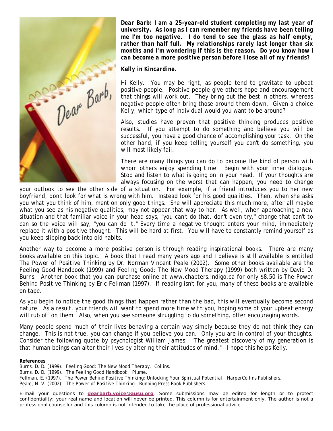<span id="page-14-0"></span>

*Dear Barb: I am a 25-year-old student completing my last year of university. As long as I can remember my friends have been telling me I'm too negative. I do tend to see the glass as half empty, rather than half full. My relationships rarely last longer than six months and I'm wondering if this is the reason. Do you know how I can become a more positive person before I lose all of my friends?* 

## *Kelly in Kincardine.*

Hi Kelly. You may be right, as people tend to gravitate to upbeat positive people. Positive people give others hope and encouragement that things will work out. They bring out the best in others, whereas negative people often bring those around them down. Given a choice Kelly, which type of individual would you want to be around?

Also, studies have proven that positive thinking produces positive results. If you attempt to do something and believe you will be successful, you have a good chance of accomplishing your task. On the other hand, if you keep telling yourself you can't do something, you will most likely fail.

There are many things you can do to become the kind of person with whom others enjoy spending time. Begin with your inner dialogue. Stop and listen to what is going on in your head. If your thoughts are always focusing on the worst that can happen, you need to change

your outlook to see the other side of a situation. For example, if a friend introduces you to her new boyfriend, don't look for what is wrong with him. Instead look for his good qualities. Then, when she asks you what you think of him, mention only good things. She will appreciate this much more, after all maybe what you see as his negative qualities, may not appear that way to her. As well, when approaching a new situation and that familiar voice in your head says, "you can't do that, don't even try," change that can't to can so the voice will say, "you can do it." Every time a negative thought enters your mind, immediately replace it with a positive thought. This will be hard at first. You will have to constantly remind yourself as you keep slipping back into old habits.

Another way to become a more positive person is through reading inspirational books. There are many books available on this topic. A book that I read many years ago and I believe is still available is entitled *The Power of Positive Thinking* by Dr. Norman Vincent Peale (2002). Some other books available are the *Feeling Good Handbook* (1999) and *Feeling Good: The New Mood Therapy* (1999) both written by David D. Burns.Another book that you can purchase online at www.chapters.indigo.ca for only \$8.50 is *The Power Behind Positive Thinking* by Eric Fellman (1997). If reading isn't for you, many of these books are available on tape.

As you begin to notice the good things that happen rather than the bad, this will eventually become second nature. As a result, your friends will want to spend more time with you, hoping some of your upbeat energy will rub off on them. Also, when you see someone struggling to do something, offer encouraging words.

Many people spend much of their lives behaving a certain way simply because they do not think they can change. This is not true, you can change if you believe you can. Only you are in control of your thoughts. Consider the following quote by psychologist William James: "The greatest discovery of my generation is that human beings can alter their lives by altering their attitudes of mind." I hope this helps Kelly.

**References** 

Burns, D. D. (1999). *Feeling Good: The New Mood Therapy*. Collins.

Burns, D. D. (1999). *The Feeling Good Handbook*. Plume.

Peale, N. V. (2002). *The Power of Positive Thinking*. Running Press Book Publishers.

*E-mail your questions to [dearbarb.voice@ausu.org](mailto:dearbarb.voice@ausu.org). Some submissions may be edited for length or to protect confidentiality: your real name and location will never be printed. This column is for entertainment only. The author is not a professional counsellor and this column is not intended to take the place of professional advice.* 

Fellman, E. (1997). *The Power Behind Positive Thinking: Unlocking Your Spiritual Potential.* HarperCollins Publishers.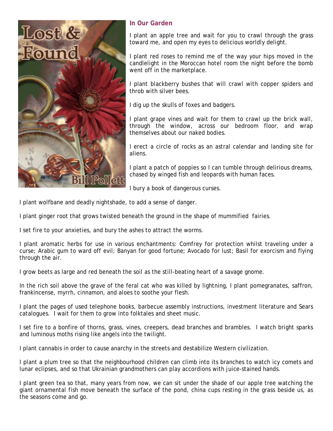<span id="page-15-0"></span>

## **In Our Garden**

I plant an apple tree and wait for you to crawl through the grass toward me, and open my eyes to delicious worldly delight.

I plant red roses to remind me of the way your hips moved in the candlelight in the Moroccan hotel room the night before the bomb went off in the marketplace.

I plant blackberry bushes that will crawl with copper spiders and throb with silver bees.

I dig up the skulls of foxes and badgers.

I plant grape vines and wait for them to crawl up the brick wall, through the window, across our bedroom floor, and wrap themselves about our naked bodies.

I erect a circle of rocks as an astral calendar and landing site for aliens.

I plant a patch of poppies so I can tumble through delirious dreams, chased by winged fish and leopards with human faces.

I bury a book of dangerous curses.

I plant wolfbane and deadly nightshade, to add a sense of danger.

I plant ginger root that grows twisted beneath the ground in the shape of mummified fairies.

I set fire to your anxieties, and bury the ashes to attract the worms.

I plant aromatic herbs for use in various enchantments: Comfrey for protection whilst traveling under a curse; Arabic gum to ward off evil; Banyan for good fortune; Avocado for lust; Basil for exorcism and flying through the air.

I grow beets as large and red beneath the soil as the still-beating heart of a savage gnome.

In the rich soil above the grave of the feral cat who was killed by lightning, I plant pomegranates, saffron, frankincense, myrrh, cinnamon, and aloes to soothe your flesh.

I plant the pages of used telephone books, barbecue assembly instructions, investment literature and Sears catalogues. I wait for them to grow into folktales and sheet music.

I set fire to a bonfire of thorns, grass, vines, creepers, dead branches and brambles. I watch bright sparks and luminous moths rising like angels into the twilight.

I plant cannabis in order to cause anarchy in the streets and destabilize Western civilization.

I plant a plum tree so that the neighbourhood children can climb into its branches to watch icy comets and lunar eclipses, and so that Ukrainian grandmothers can play accordions with juice-stained hands.

I plant green tea so that, many years from now, we can sit under the shade of our apple tree watching the giant ornamental fish move beneath the surface of the pond, china cups resting in the grass beside us, as the seasons come and go.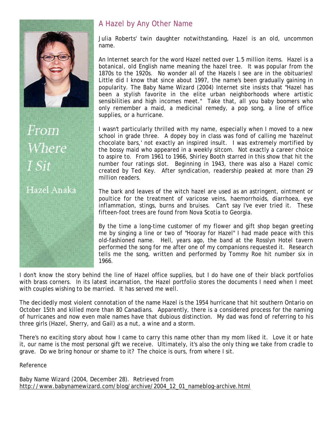<span id="page-16-0"></span>

From Where

## Hazel Anaka

## A Hazel by Any Other Name

Julia Roberts' twin daughter notwithstanding, Hazel is an old, uncommon name.

An Internet search for the word Hazel netted over 1.5 million items. Hazel is a botanical, old English name meaning the hazel tree. It was popular from the 1870s to the 1920s. No wonder all of the Hazels I see are in the obituaries! Little did I know that since about 1997, the name's been gradually gaining in popularity. The Baby Name Wizard (2004) Internet site insists that "Hazel has been a stylish favorite in the elite urban neighborhoods where artistic sensibilities and high incomes meet." Take that, all you baby boomers who only remember a maid, a medicinal remedy, a pop song, a line of office supplies, or a hurricane.

I wasn't particularly thrilled with my name, especially when I moved to a new school in grade three. A dopey boy in class was fond of calling me 'hazelnut chocolate bars,' not exactly an inspired insult. I was extremely mortified by the bossy maid who appeared in a weekly sitcom. Not exactly a career choice to aspire to. From 1961 to 1966, Shirley Booth starred in this show that hit the number four ratings slot. Beginning in 1943, there was also a Hazel comic created by Ted Key. After syndication, readership peaked at more than 29 million readers.

The bark and leaves of the witch hazel are used as an astringent, ointment or poultice for the treatment of varicose veins, haemorrhoids, diarrhoea, eye inflammation, stings, burns and bruises. Can't say I've ever tried it. These fifteen-foot trees are found from Nova Scotia to Georgia.

By the time a long-time customer of my flower and gift shop began greeting me by singing a line or two of "Hooray for Hazel" I had made peace with this old-fashioned name. Hell, years ago, the band at the Rosslyn Hotel tavern performed the song for me after one of my companions requested it. Research tells me the song, written and performed by Tommy Roe hit number six in 1966.

I don't know the story behind the line of Hazel office supplies, but I do have one of their black portfolios with brass corners. In its latest incarnation, the Hazel portfolio stores the documents I need when I meet with couples wishing to be married. It has served me well.

The decidedly most violent connotation of the name Hazel is the 1954 hurricane that hit southern Ontario on October 15th and killed more than 80 Canadians. Apparently, there is a considered process for the naming of hurricanes and now even male names have that dubious distinction. My dad was fond of referring to his three girls (Hazel, Sherry, and Gail) as a nut, a wine and a storm.

There's no exciting story about how I came to carry this name other than my mom liked it. Love it or hate it, our name is the most personal gift we receive. Ultimately, it's also the only thing we take from cradle to grave. Do we bring honour or shame to it? The choice is ours, from where I sit.

Reference

Baby Name Wizard (2004, December 28). Retrieved from [http://www.babynamewizard.com/blog/archive/2004\\_12\\_01\\_nameblog-archive.html](http://www.babynamewizard.com/blog/archive/2004_12_01_nameblog-archive.html)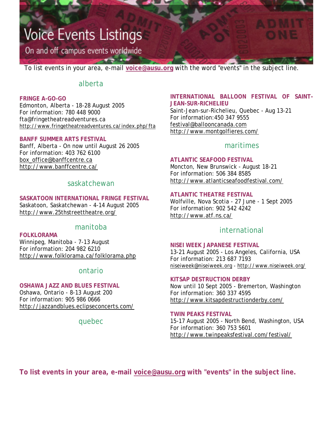# <span id="page-17-0"></span>**Voice Events Listings**

On and off campus events worldwide

To list events in your area, e-mail **[voice@ausu.org](mailto:voice@ausu.org)** with the word "events" in the subject line.

## alberta

## **FRINGE A-GO-GO**

Edmonton, Alberta - 18-28 August 2005 For information: 780 448 9000 fta@fringetheatreadventures.ca <http://www.fringetheatreadventures.ca/index.php/fta>

## **BANFF SUMMER ARTS FESTIVAL**

Banff, Alberta - On now until August 26 2005 For information: 403 762 6100 [box\\_office@banffcentre.ca](mailto:box_office@banffcentre.ca) <http://www.banffcentre.ca/>

## saskatchewan

## **SASKATOON INTERNATIONAL FRINGE FESTIVAL**

Saskatoon, Saskatchewan - 4-14 August 2005 <http://www.25thstreettheatre.org/>

## manitoba

## **FOLKLORAMA**

Winnipeg, Manitoba - 7-13 August For information: 204 982 6210 <http://www.folklorama.ca/folklorama.php>

## ontario

## **OSHAWA JAZZ AND BLUES FESTIVAL**

Oshawa, Ontario - 8-13 August 200 For information: 905 986 0666 <http://jazzandblues.eclipseconcerts.com/>

## quebec

## **INTERNATIONAL BALLOON FESTIVAL OF SAINT-JEAN-SUR-RICHELIEU**

Saint-Jean-sur-Richelieu, Quebec - Aug 13-21 For information:450 347 9555 [festival@ballooncanada.com](mailto:festival@ballooncanada.com) <http://www.montgolfieres.com/>

## maritimes

## **ATLANTIC SEAFOOD FESTIVAL**

Moncton, New Brunswick - August 18-21 For information: 506 384 8585 <http://www.atlanticseafoodfestival.com/>

## **ATLANTIC THEATRE FESTIVAL**

Wolfville, Nova Scotia - 27 June - 1 Sept 2005 For information: 902 542 4242 <http://www.atf.ns.ca/>

## international

### **NISEI WEEK JAPANESE FESTIVAL**

13-21 August 2005 - Los Angeles, California, USA For information: 213 687 7193 [niseiweek@niseiweek.org](mailto:niseiweek@niseiweek.org) - <http://www.niseiweek.org/>

**KITSAP DESTRUCTION DERBY**  Now until 10 Sept 2005 - Bremerton, Washington For information: 360 337 4595 <http://www.kitsapdestructionderby.com/>

### **TWIN PEAKS FESTIVAL**

15-17 August 2005 - North Bend, Washington, USA For information: 360 753 5601 <http://www.twinpeaksfestival.com/festival/>

**To list events in your area, e-mail [voice@ausu.org](mailto:voice@ausu.org) with "events" in the subject line.**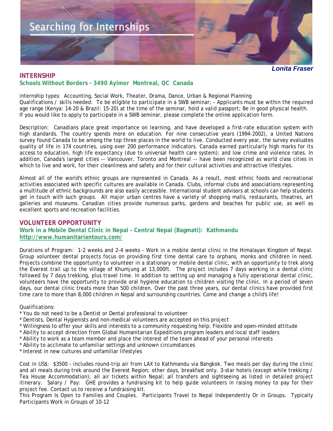<span id="page-18-0"></span>

## **INTERNSHIP Schools Without Borders - 3490 Aylmer Montreal, QC Canada**

internship types: Accounting, Social Work, Theater, Drama, Dance, Urban & Regional Planning Qualifications / skills needed: To be eligible to participate in a SWB seminar; - Applicants must be within the required age range (Kenya: 14-20 & Brazil: 15-20) at the time of the seminar, hold a valid passport; Be in good physical health. If you would like to apply to participate in a SWB seminar, please complete the online application form.

Description: Canadians place great importance on learning, and have developed a first-rate education system with high standards. The country spends more on education. For nine consecutive years (1994-2002), a United Nations survey found Canada to be among the top three places in the world to live. Conducted every year, the survey evaluates quality of life in 174 countries, using over 200 performance indicators. Canada earned particularly high marks for its access to education, high life expectancy (due to universal health care system); and low crime and violence rates. In addition, Canada's largest cities -- Vancouver, Toronto and Montreal -- have been recognized as world class cities in which to live and work, for their cleanliness and safety and for their cultural activities and attractive lifestyles.

Almost all of the world's ethnic groups are represented in Canada. As a result, most ethnic foods and recreational activities associated with specific cultures are available in Canada. Clubs, informal clubs and associations representing a multitude of ethnic backgrounds are also easily accessible. International student advisors at schools can help students get in touch with such groups. All major urban centres have a variety of shopping malls, restaurants, theatres, art galleries and museums. Canadian cities provide numerous parks, gardens and beaches for public use, as well as excellent sports and recreation facilities.

## **VOLUNTEER OPPORTUNITY Work in a Mobile Dental Clinic in Nepal - Central Nepal (Bagmati): Kathmandu <http://www.humanitariantours.com/>**

Durations of Program: 1-2 weeks and 2-4 weeks - Work in a mobile dental clinic in the Himalayan Kingdom of Nepal. Group volunteer dental projects focus on providing first time dental care to orphans, monks and children in need. Projects combine the opportunity to volunteer in a stationary or mobile dental clinic, with an opportunity to trek along the Everest trail up to the village of Khumjung at 13,000ft. The project includes 7 days working in a dental clinic followed by 7 days trekking, plus travel time. In addition to setting up and managing a fully operational dental clinic, volunteers have the opportunity to provide oral hygiene education to children visiting the clinic. In a period of seven days, our dental clinic treats more than 500 children. Over the past three years, our dental clinics have provided first time care to more than 8,000 children in Nepal and surrounding countries. Come and change a child's life!

#### Qualifications:

- \* You do not need to be a Dentist or Dental professional to volunteer
- \* Dentists, Dental Hygienists and non-medical volunteers are accepted on this project
- \* Willingness to offer your skills and interests to a community requesting help; Flexible and open-minded attitude
- \* Ability to accept direction from Global Humanitarian Expeditions program leaders and local staff leaders
- \* Ability to work as a team member and place the interest of the team ahead of your personal interests
- \* Ability to acclimate to unfamiliar settings and unknown circumstances
- \* Interest in new cultures and unfamiliar lifestyles

Cost in US\$: \$3500 - includes round-trip air from LAX to Kathmandu via Bangkok. Two meals per day during the clinic and all meals during trek around the Everest Region; other days, breakfast only. 3-star hotels (except while trekking / Tea House Accommodation); all air tickets within Nepal; all transfers and sightseeing as listed in detailed project itinerary. Salary / Pay: GHE provides a fundraising kit to help guide volunteers in raising money to pay for their project fee. Contact us to receive a fundraising kit.

This Program Is Open to Families and Couples. Participants Travel to Nepal Independently Or in Groups. Typically Participants Work in Groups of 10-12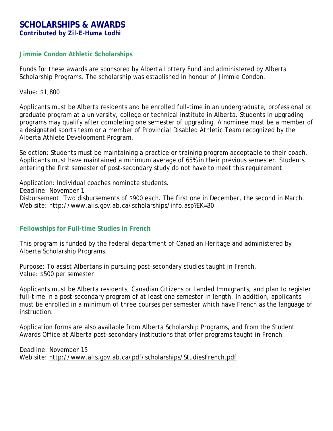## <span id="page-19-0"></span>**SCHOLARSHIPS & AWARDS** *Contributed by Zil-E-Huma Lodhi*

## **Jimmie Condon Athletic Scholarships**

Funds for these awards are sponsored by Alberta Lottery Fund and administered by Alberta Scholarship Programs. The scholarship was established in honour of Jimmie Condon.

Value: \$1,800

Applicants must be Alberta residents and be enrolled full-time in an undergraduate, professional or graduate program at a university, college or technical institute in Alberta. Students in upgrading programs may qualify after completing one semester of upgrading. A nominee must be a member of a designated sports team or a member of Provincial Disabled Athletic Team recognized by the Alberta Athlete Development Program.

Selection: Students must be maintaining a practice or training program acceptable to their coach. Applicants must have maintained a minimum average of 65% in their previous semester. Students entering the first semester of post-secondary study do not have to meet this requirement.

Application: Individual coaches nominate students. Deadline: November 1 Disbursement: Two disbursements of \$900 each. The first one in December, the second in March. Web site: <http://www.alis.gov.ab.ca/scholarships/info.asp?EK=30>

## **Fellowships for Full-time Studies in French**

This program is funded by the federal department of Canadian Heritage and administered by Alberta Scholarship Programs.

Purpose: To assist Albertans in pursuing post-secondary studies taught in French. Value: \$500 per semester

Applicants must be Alberta residents, Canadian Citizens or Landed Immigrants, and plan to register full-time in a post-secondary program of at least one semester in length. In addition, applicants must be enrolled in a minimum of three courses per semester which have French as the language of instruction.

Application forms are also available from Alberta Scholarship Programs, and from the Student Awards Office at Alberta post-secondary institutions that offer programs taught in French.

Deadline: November 15 Web site: <http://www.alis.gov.ab.ca/pdf/scholarships/StudiesFrench.pdf>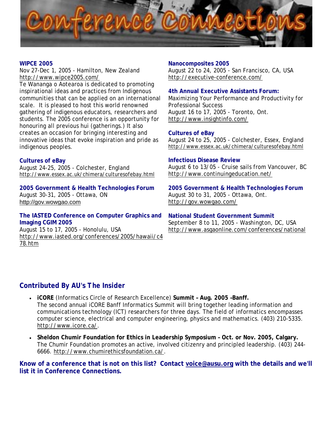<span id="page-20-0"></span>

## **WIPCE 2005**

Nov 27-Dec 1, 2005 - Hamilton, New Zealand <http://www.wipce2005.com/>

Te Wananga o Aotearoa is dedicated to promoting inspirational ideas and practices from Indigenous communities that can be applied on an international scale. It is pleased to host this world renowned gathering of indigenous educators, researchers and students. The 2005 conference is an opportunity for honouring all previous hui (gatherings.) It also creates an occasion for bringing interesting and innovative ideas that evoke inspiration and pride as indigenous peoples.

## **Cultures of eBay**

August 24-25, 2005 - Colchester, England <http://www.essex.ac.uk/chimera/culturesofebay.html>

**2005 Government & Health Technologies Forum**  August 30-31, 2005 - Ottawa, ON [http://gov.wowgao.com](http://gov.wowgao.com/)

## **The IASTED Conference on Computer Graphics and Imaging CGIM 2005**

August 15 to 17, 2005 - Honolulu, USA [http://www.iasted.org/conferences/2005/hawaii/c4](http://www.iasted.org/conferences/2005/hawaii/c478.htm) [78.htm](http://www.iasted.org/conferences/2005/hawaii/c478.htm)

#### **Nanocomposites 2005**

August 22 to 24, 2005 - San Francisco, CA, USA <http://executive-conference.com/>

## **4th Annual Executive Assistants Forum:**

Maximizing Your Performance and Productivity for Professional Success August 16 to 17, 2005 - Toronto, Ont. <http://www.insightinfo.com/>

## **Cultures of eBay**

August 24 to 25, 2005 - Colchester, Essex, England <http://www.essex.ac.uk/chimera/culturesofebay.html>

## **Infectious Disease Review**

August 6 to 13/05 - Cruise sails from Vancouver, BC <http://www.continuingeducation.net/>

**2005 Government & Health Technologies Forum** August 30 to 31, 2005 - Ottawa, Ont. <http://gov.wowgao.com/>

## **National Student Government Summit**

September 8 to 11, 2005 - Washington, DC, USA <http://www.asgaonline.com/conferences/national>

## **Contributed By AU's** *The Insider*

- **iCORE** (Informatics Circle of Research Excellence) **Summit Aug. 2005 –Banff.** The second annual iCORE Banff Informatics Summit will bring together leading information and communications technology (ICT) researchers for three days. The field of informatics encompasses computer science, electrical and computer engineering, physics and mathematics. (403) 210-5335. <http://www.icore.ca/>.
- **Sheldon Chumir Foundation for Ethics in Leadership Symposium Oct. or Nov. 2005, Calgary.** The Chumir Foundation promotes an active, involved citizenry and principled leadership. (403) 244- 6666. [http://www.chumirethicsfoundation.ca/.](http://www.chumirethicsfoundation.ca/)

**Know of a conference that is not on this list? Contact [voice@ausu.org](mailto:voice@ausu.org) with the details and we'll list it in Conference Connections.**